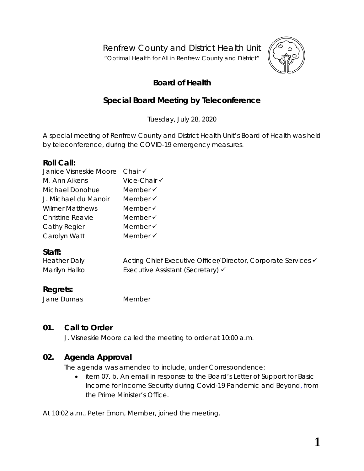Renfrew County and District Health Unit

"*Optimal Health for All in Renfrew County and District"*



# **Board of Health**

# **Special Board Meeting by Teleconference**

Tuesday, July 28, 2020

A special meeting of Renfrew County and District Health Unit's Board of Health was held by teleconference, during the COVID-19 emergency measures.

### **Roll Call:**

| Janice Visneskie Moore Chair V |                     |
|--------------------------------|---------------------|
| M. Ann Aikens                  | Vice-Chair √        |
| Michael Donohue                | Member $\checkmark$ |
| J. Michael du Manoir           | Member $\checkmark$ |
| <b>Wilmer Matthews</b>         | Member $\checkmark$ |
| <b>Christine Reavie</b>        | Member $\checkmark$ |
| Cathy Regier                   | Member √            |
| Carolyn Watt                   | Member √            |

## **Staff:**

| <b>Heather Daly</b> | Acting Chief Executive Officer/Director, Corporate Services V |
|---------------------|---------------------------------------------------------------|
| Marilyn Halko       | Executive Assistant (Secretary) √                             |

# **Regrets:**

Jane Dumas Member

## **01. Call to Order**

J. Visneskie Moore called the meeting to order at 10:00 a.m.

## **02. Agenda Approval**

The agenda was amended to include, under Correspondence:

• item 07. b. An email in response to the Board's Letter of Support for Basic Income for Income Security during Covid-19 Pandemic and Beyond, from the Prime Minister's Office.

At 10:02 a.m., Peter Emon, Member, joined the meeting.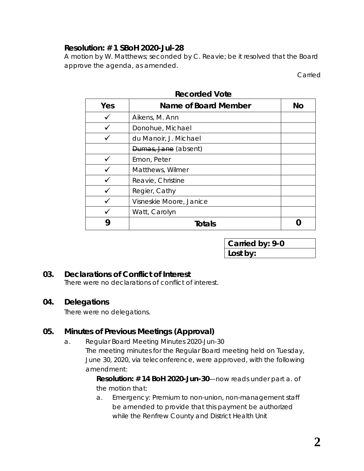## **Resolution: # 1 SBoH 2020-Jul-28**

A motion by W. Matthews; seconded by C. Reavie; be it resolved that the Board approve the agenda, as amended.

Carried

| Yes | Name of Board Member    | <b>No</b> |
|-----|-------------------------|-----------|
|     | Aikens, M. Ann          |           |
|     | Donohue, Michael        |           |
|     | du Manoir, J. Michael   |           |
|     | Dumas, Jane (absent)    |           |
|     | Emon, Peter             |           |
|     | Matthews, Wilmer        |           |
|     | Reavie, Christine       |           |
|     | Regier, Cathy           |           |
|     | Visneskie Moore, Janice |           |
|     | Watt, Carolyn           |           |
|     | Totals                  |           |

**Recorded Vote**

| Carried by: 9-0 |  |
|-----------------|--|
| Lost by:        |  |

# **03. Declarations of Conflict of Interest**

There were no declarations of conflict of interest.

## **04. Delegations**

There were no delegations.

# **05. Minutes of Previous Meetings (Approval)**

a. Regular Board Meeting Minutes 2020-Jun-30 The meeting minutes for the Regular Board meeting held on Tuesday, June 30, 2020, via teleconference, were approved, with the following amendment:

> *Resolution: # 14 BoH 2020-Jun-30*—now reads under part a. of the motion that:

> a. Emergency: Premium to non-union, non-management staff be amended to provide that this payment be authorized while the Renfrew County and District Health Unit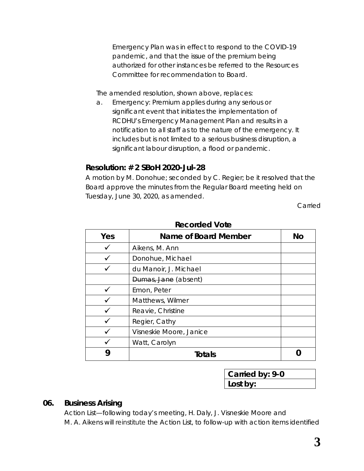Emergency Plan was in effect to respond to the COVID-19 pandemic, and that the issue of the premium being authorized for other instances be referred to the Resources Committee for recommendation to Board.

The amended resolution, shown above, replaces:

*a. Emergency: Premium applies during any serious or significant event that initiates the implementation of RCDHU's Emergency Management Plan and results in a notification to all staff as to the nature of the emergency. It includes but is not limited to a serious business disruption, a significant labour disruption, a flood or pandemic.*

## **Resolution: # 2 SBoH 2020-Jul-28**

A motion by M. Donohue; seconded by C. Regier; be it resolved that the Board approve the minutes from the Regular Board meeting held on Tuesday, June 30, 2020, as amended.

Carried

| Yes | Name of Board Member    | <b>No</b> |
|-----|-------------------------|-----------|
|     | Aikens, M. Ann          |           |
|     | Donohue, Michael        |           |
|     | du Manoir, J. Michael   |           |
|     | Dumas, Jane (absent)    |           |
|     | Emon, Peter             |           |
|     | Matthews, Wilmer        |           |
|     | Reavie, Christine       |           |
|     | Regier, Cathy           |           |
|     | Visneskie Moore, Janice |           |
|     | Watt, Carolyn           |           |
| 9   | <b>Totals</b>           |           |

#### **Recorded Vote**

**Carried by: 9-0 Lost by:**

### **06. Business Arising**

Action List—following today's meeting, H. Daly, J. Visneskie Moore and M. A. Aikens will reinstitute the *Action List*, to follow-up with action items identified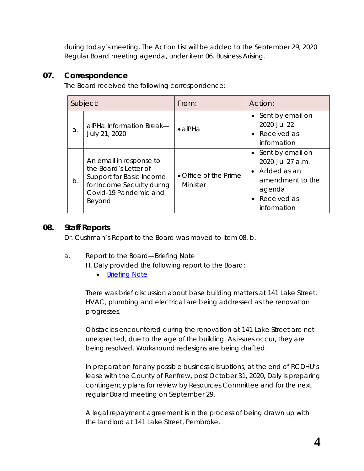during today's meeting. The *Action List* will be added to the September 29, 2020 Regular Board meeting agenda, under item 06. Business Arising.

## **07. Correspondence**

The Board received the following correspondence:

|    | Subject:                                                                                                                                      | From:                             | Action:                                                                                                               |
|----|-----------------------------------------------------------------------------------------------------------------------------------------------|-----------------------------------|-----------------------------------------------------------------------------------------------------------------------|
| a. | alPHa Information Break-<br>July 21, 2020                                                                                                     | $\bullet$ alPHa                   | • Sent by email on<br>2020-Jul-22<br>• Received as<br>information                                                     |
| b. | An email in response to<br>the Board's Letter of<br>Support for Basic Income<br>for Income Security during<br>Covid-19 Pandemic and<br>Beyond | • Office of the Prime<br>Minister | • Sent by email on<br>2020-Jul-27 a.m.<br>• Added as an<br>amendment to the<br>agenda<br>• Received as<br>information |

## **08. Staff Reports**

Dr. Cushman's Report to the Board was moved to item 08. b.

a. Report to the Board—Briefing Note

H. Daly provided the following report to the Board:

• **[Briefing Note](https://www.rcdhu.com/wp-content/uploads/2020/12/08.-b.-Briefing-Note-H.-Daly-July-2020.pdf)** 

There was brief discussion about base building matters at 141 Lake Street. HVAC, plumbing and electrical are being addressed as the renovation progresses.

Obstacles encountered during the renovation at 141 Lake Street are not unexpected, due to the age of the building. As issues occur, they are being resolved. Workaround redesigns are being drafted.

In preparation for any possible business disruptions, at the end of RCDHU's lease with the County of Renfrew, post October 31, 2020, Daly is preparing contingency plans for review by Resources Committee and for the next regular Board meeting on September 29.

A legal repayment agreement is in the process of being drawn up with the landlord at 141 Lake Street, Pembroke.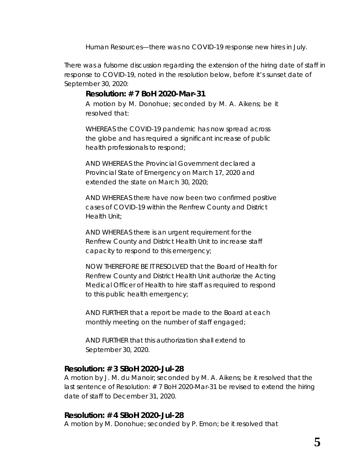Human Resources—there was no COVID-19 response new hires in July.

There was a fulsome discussion regarding the extension of the hiring date of staff in response to COVID-19, noted in the resolution below, before it's sunset date of September 30, 2020:

### *Resolution: # 7 BoH 2020-Mar-31*

*A motion by M. Donohue; seconded by M. A. Aikens; be it resolved that:*

*WHEREAS the COVID-19 pandemic has now spread across the globe and has required a significant increase of public health professionals to respond;*

*AND WHEREAS the Provincial Government declared a Provincial State of Emergency on March 17, 2020 and extended the state on March 30, 2020;*

*AND WHEREAS there have now been two confirmed positive cases of COVID-19 within the Renfrew County and District Health Unit;*

*AND WHEREAS there is an urgent requirement for the Renfrew County and District Health Unit to increase staff capacity to respond to this emergency;*

*NOW THEREFORE BE IT RESOLVED that the Board of Health for Renfrew County and District Health Unit authorize the Acting Medical Officer of Health to hire staff as required to respond to this public health emergency;*

*AND FURTHER that a report be made to the Board at each monthly meeting on the number of staff engaged;*

*AND FURTHER that this authorization shall extend to September 30, 2020.*

### **Resolution: # 3 SBoH 2020-Jul-28**

A motion by J. M. du Manoir; seconded by M. A. Aikens; be it resolved that the last sentence of *Resolution: # 7 BoH 2020-Mar-31* be revised to extend the hiring date of staff to December 31, 2020.

### **Resolution: # 4 SBoH 2020-Jul-28**

A motion by M. Donohue; seconded by P. Emon; be it resolved that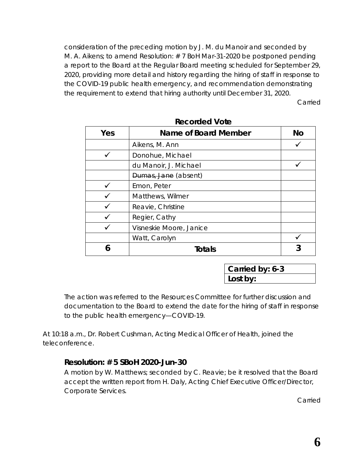consideration of the preceding motion by J. M. du Manoir and seconded by M. A. Aikens; to amend Resolution: # 7 BoH Mar-31-2020 be postponed pending a report to the Board at the Regular Board meeting scheduled for September 29, 2020, providing more detail and history regarding the hiring of staff in response to the COVID-19 public health emergency, and recommendation demonstrating the requirement to extend that hiring authority until December 31, 2020.

Carried

| Yes | <b>Name of Board Member</b> | <b>No</b> |
|-----|-----------------------------|-----------|
|     | Aikens, M. Ann              |           |
|     | Donohue, Michael            |           |
|     | du Manoir, J. Michael       |           |
|     | Dumas, Jane (absent)        |           |
|     | Emon, Peter                 |           |
|     | Matthews, Wilmer            |           |
|     | Reavie, Christine           |           |
|     | Regier, Cathy               |           |
|     | Visneskie Moore, Janice     |           |
|     | Watt, Carolyn               |           |
|     | Totals                      |           |

**Recorded Vote**

**Carried by: 6-3 Lost by:**

The action was referred to the Resources Committee for further discussion and documentation to the Board to extend the date for the hiring of staff in response to the public health emergency—COVID-19.

At 10:18 a.m., Dr. Robert Cushman, Acting Medical Officer of Health, joined the teleconference.

## **Resolution: # 5 SBoH 2020-Jun-30**

A motion by W. Matthews; seconded by C. Reavie; be it resolved that the Board accept the written report from H. Daly, Acting Chief Executive Officer/Director, Corporate Services.

Carried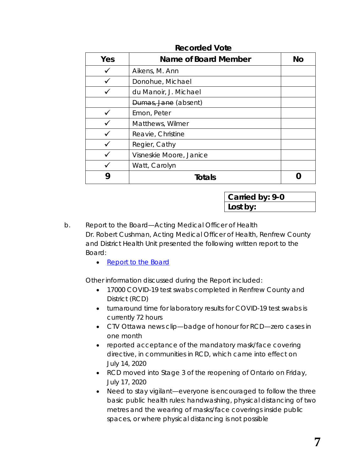| Yes | Name of Board Member    | No |
|-----|-------------------------|----|
|     | Aikens, M. Ann          |    |
|     | Donohue, Michael        |    |
|     | du Manoir, J. Michael   |    |
|     | Dumas, Jane (absent)    |    |
|     | Emon, Peter             |    |
|     | Matthews, Wilmer        |    |
|     | Reavie, Christine       |    |
|     | Regier, Cathy           |    |
|     | Visneskie Moore, Janice |    |
|     | Watt, Carolyn           |    |
|     | <b>Totals</b>           |    |

#### **Recorded Vote**

**Carried by: 9-0 Lost by:**

b. Report to the Board—Acting Medical Officer of Health Dr. Robert Cushman, Acting Medical Officer of Health, Renfrew County and District Health Unit presented the following written report to the Board:

• [Report to the Board](https://www.rcdhu.com/wp-content/uploads/2020/12/08.-a.-Report-to-the-Board-MOHA-July-2020.pdf)

Other information discussed during the Report included:

- 17000 COVID-19 test swabs completed in Renfrew County and District (RCD)
- turnaround time for laboratory results for COVID-19 test swabs is currently 72 hours
- CTV Ottawa news clip—badge of honour for RCD—zero cases in one month
- reported acceptance of the mandatory mask/face covering directive, in communities in RCD, which came into effect on July 14, 2020
- RCD moved into Stage 3 of the reopening of Ontario on Friday, July 17, 2020
- Need to stay vigilant—everyone is encouraged to follow the three basic public health rules: handwashing, physical distancing of two metres and the wearing of masks/face coverings inside public spaces, or where physical distancing is not possible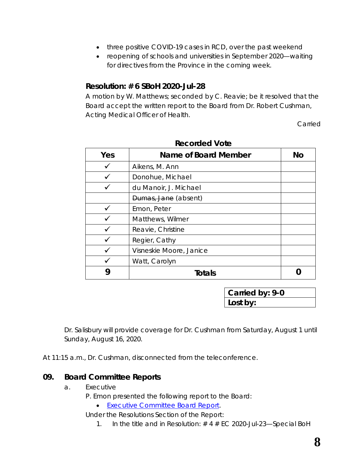- three positive COVID-19 cases in RCD, over the past weekend
- reopening of schools and universities in September 2020—waiting for directives from the Province in the coming week.

### **Resolution: # 6 SBoH 2020-Jul-28**

A motion by W. Matthews; seconded by C. Reavie; be it resolved that the Board accept the written report to the Board from Dr. Robert Cushman, Acting Medical Officer of Health.

Carried

| Yes | Name of Board Member    | No |
|-----|-------------------------|----|
|     | Aikens, M. Ann          |    |
|     | Donohue, Michael        |    |
|     | du Manoir, J. Michael   |    |
|     | Dumas, Jane (absent)    |    |
|     | Emon, Peter             |    |
|     | Matthews, Wilmer        |    |
|     | Reavie, Christine       |    |
|     | Regier, Cathy           |    |
|     | Visneskie Moore, Janice |    |
|     | Watt, Carolyn           |    |
|     | Totals                  |    |

**Recorded Vote**

**Carried by: 9-0 Lost by:**

Dr. Salisbury will provide coverage for Dr. Cushman from Saturday, August 1 until Sunday, August 16, 2020.

At 11:15 a.m., Dr. Cushman, disconnected from the teleconference.

### **09. Board Committee Reports**

a. Executive

P. Emon presented the following report to the Board:

• [Executive Committee Board Report.](https://www.rcdhu.com/wp-content/uploads/2020/12/09.-a.-Executive-Committee-Board-Report-for-the-BoH-meeting-2020-Jul-28-Amended-Final.pdf)

Under the Resolutions Section of the Report:

1. In the title and in Resolution:  $# 4 # EC 2020$ -Jul-23-Special BoH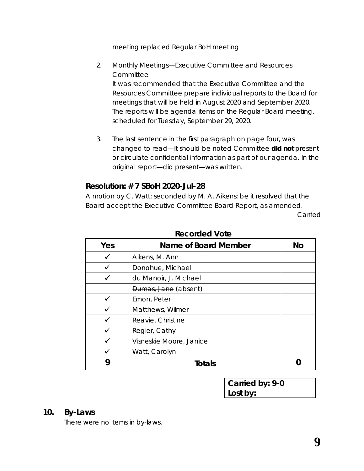meeting replaced *Regular BoH meeting*

- 2. Monthly Meetings—Executive Committee and Resources **Committee** It was recommended that the Executive Committee and the Resources Committee prepare individual reports to the Board for meetings that will be held in August 2020 and September 2020. The reports will be agenda items on the Regular Board meeting, scheduled for Tuesday, September 29, 2020.
- 3. The last sentence in the first paragraph on page four, was changed to read—*It should be noted Committee did not present or circulate confidential information as part of our agenda.* In the original report—*did present*—was written.

## **Resolution: # 7 SBoH 2020-Jul-28**

A motion by C. Watt; seconded by M. A. Aikens; be it resolved that the Board accept the Executive Committee Board Report, as amended.

Carried

| Yes | Name of Board Member    | No |
|-----|-------------------------|----|
|     | Aikens, M. Ann          |    |
|     | Donohue, Michael        |    |
|     | du Manoir, J. Michael   |    |
|     | Dumas, Jane (absent)    |    |
|     | Emon, Peter             |    |
|     | Matthews, Wilmer        |    |
|     | Reavie, Christine       |    |
|     | Regier, Cathy           |    |
|     | Visneskie Moore, Janice |    |
|     | Watt, Carolyn           |    |
|     | Totals                  |    |

### **Recorded Vote**

| Carried by: 9-0 |  |
|-----------------|--|
| Lost by:        |  |

#### **10. By-Laws**

There were no items in by-laws.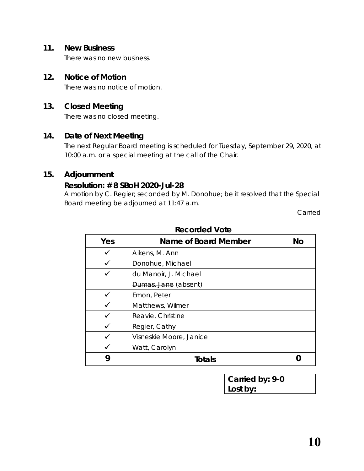#### **11. New Business**

There was no new business.

### **12. Notice of Motion**

There was no notice of motion.

## **13. Closed Meeting**

There was no closed meeting.

### **14. Date of Next Meeting**

The next Regular Board meeting is scheduled for Tuesday, September 29, 2020, at 10:00 a.m. or a special meeting at the call of the Chair.

# **15. Adjournment**

#### **Resolution: # 8 SBoH 2020-Jul-28**

A motion by C. Regier; seconded by M. Donohue; be it resolved that the Special Board meeting be adjourned at 11:47 a.m.

Carried

| Yes | Name of Board Member    | No |
|-----|-------------------------|----|
|     | Aikens, M. Ann          |    |
|     | Donohue, Michael        |    |
|     | du Manoir, J. Michael   |    |
|     | Dumas, Jane (absent)    |    |
|     | Emon, Peter             |    |
|     | Matthews, Wilmer        |    |
|     | Reavie, Christine       |    |
|     | Regier, Cathy           |    |
|     | Visneskie Moore, Janice |    |
|     | Watt, Carolyn           |    |
|     | Totals                  |    |

#### **Recorded Vote**

| Carried by: 9-0 |  |
|-----------------|--|
| Lost by:        |  |